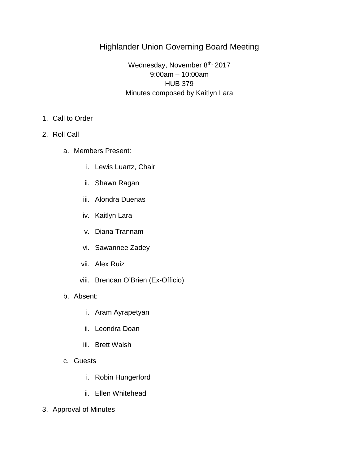# Highlander Union Governing Board Meeting

Wednesday, November 8<sup>th,</sup> 2017 9:00am – 10:00am HUB 379 Minutes composed by Kaitlyn Lara

- 1. Call to Order
- 2. Roll Call
	- a. Members Present:
		- i. Lewis Luartz, Chair
		- ii. Shawn Ragan
		- iii. Alondra Duenas
		- iv. Kaitlyn Lara
		- v. Diana Trannam
		- vi. Sawannee Zadey
		- vii. Alex Ruiz
		- viii. Brendan O'Brien (Ex-Officio)
	- b. Absent:
		- i. Aram Ayrapetyan
		- ii. Leondra Doan
		- iii. Brett Walsh
	- c. Guests
		- i. Robin Hungerford
		- ii. Ellen Whitehead
- 3. Approval of Minutes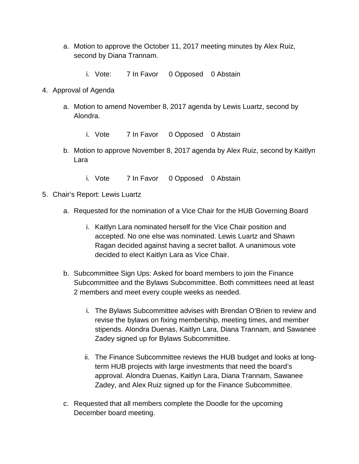- a. Motion to approve the October 11, 2017 meeting minutes by Alex Ruiz, second by Diana Trannam.
	- i. Vote: 7 In Favor 0 Opposed 0 Abstain
- 4. Approval of Agenda
	- a. Motion to amend November 8, 2017 agenda by Lewis Luartz, second by Alondra.
		- i. Vote 7 In Favor 0 Opposed 0 Abstain
	- b. Motion to approve November 8, 2017 agenda by Alex Ruiz, second by Kaitlyn Lara
		- i. Vote 7 In Favor 0 Opposed 0 Abstain
- 5. Chair's Report: Lewis Luartz
	- a. Requested for the nomination of a Vice Chair for the HUB Governing Board
		- i. Kaitlyn Lara nominated herself for the Vice Chair position and accepted. No one else was nominated. Lewis Luartz and Shawn Ragan decided against having a secret ballot. A unanimous vote decided to elect Kaitlyn Lara as Vice Chair.
	- b. Subcommittee Sign Ups: Asked for board members to join the Finance Subcommittee and the Bylaws Subcommittee. Both committees need at least 2 members and meet every couple weeks as needed.
		- i. The Bylaws Subcommittee advises with Brendan O'Brien to review and revise the bylaws on fixing membership, meeting times, and member stipends. Alondra Duenas, Kaitlyn Lara, Diana Trannam, and Sawanee Zadey signed up for Bylaws Subcommittee.
		- ii. The Finance Subcommittee reviews the HUB budget and looks at longterm HUB projects with large investments that need the board's approval. Alondra Duenas, Kaitlyn Lara, Diana Trannam, Sawanee Zadey, and Alex Ruiz signed up for the Finance Subcommittee.
	- c. Requested that all members complete the Doodle for the upcoming December board meeting.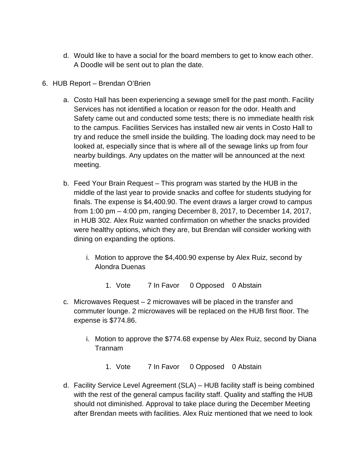- d. Would like to have a social for the board members to get to know each other. A Doodle will be sent out to plan the date.
- 6. HUB Report Brendan O'Brien
	- a. Costo Hall has been experiencing a sewage smell for the past month. Facility Services has not identified a location or reason for the odor. Health and Safety came out and conducted some tests; there is no immediate health risk to the campus. Facilities Services has installed new air vents in Costo Hall to try and reduce the smell inside the building. The loading dock may need to be looked at, especially since that is where all of the sewage links up from four nearby buildings. Any updates on the matter will be announced at the next meeting.
	- b. Feed Your Brain Request This program was started by the HUB in the middle of the last year to provide snacks and coffee for students studying for finals. The expense is \$4,400.90. The event draws a larger crowd to campus from 1:00 pm – 4:00 pm, ranging December 8, 2017, to December 14, 2017, in HUB 302. Alex Ruiz wanted confirmation on whether the snacks provided were healthy options, which they are, but Brendan will consider working with dining on expanding the options.
		- i. Motion to approve the \$4,400.90 expense by Alex Ruiz, second by Alondra Duenas
			- 1. Vote 7 In Favor 0 Opposed 0 Abstain
	- c. Microwaves Request 2 microwaves will be placed in the transfer and commuter lounge. 2 microwaves will be replaced on the HUB first floor. The expense is \$774.86.
		- i. Motion to approve the \$774.68 expense by Alex Ruiz, second by Diana Trannam
			- 1. Vote 7 In Favor 0 Opposed 0 Abstain
	- d. Facility Service Level Agreement (SLA) HUB facility staff is being combined with the rest of the general campus facility staff. Quality and staffing the HUB should not diminished. Approval to take place during the December Meeting after Brendan meets with facilities. Alex Ruiz mentioned that we need to look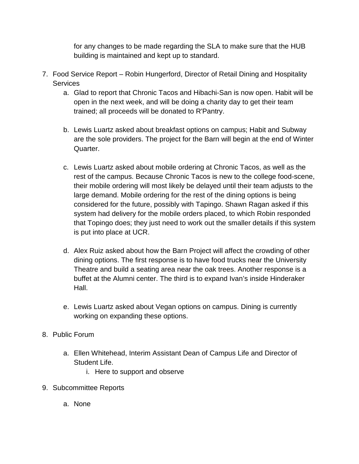for any changes to be made regarding the SLA to make sure that the HUB building is maintained and kept up to standard.

- 7. Food Service Report Robin Hungerford, Director of Retail Dining and Hospitality **Services** 
	- a. Glad to report that Chronic Tacos and Hibachi-San is now open. Habit will be open in the next week, and will be doing a charity day to get their team trained; all proceeds will be donated to R'Pantry.
	- b. Lewis Luartz asked about breakfast options on campus; Habit and Subway are the sole providers. The project for the Barn will begin at the end of Winter Quarter.
	- c. Lewis Luartz asked about mobile ordering at Chronic Tacos, as well as the rest of the campus. Because Chronic Tacos is new to the college food-scene, their mobile ordering will most likely be delayed until their team adjusts to the large demand. Mobile ordering for the rest of the dining options is being considered for the future, possibly with Tapingo. Shawn Ragan asked if this system had delivery for the mobile orders placed, to which Robin responded that Topingo does; they just need to work out the smaller details if this system is put into place at UCR.
	- d. Alex Ruiz asked about how the Barn Project will affect the crowding of other dining options. The first response is to have food trucks near the University Theatre and build a seating area near the oak trees. Another response is a buffet at the Alumni center. The third is to expand Ivan's inside Hinderaker Hall.
	- e. Lewis Luartz asked about Vegan options on campus. Dining is currently working on expanding these options.
- 8. Public Forum
	- a. Ellen Whitehead, Interim Assistant Dean of Campus Life and Director of Student Life.
		- i. Here to support and observe
- 9. Subcommittee Reports
	- a. None